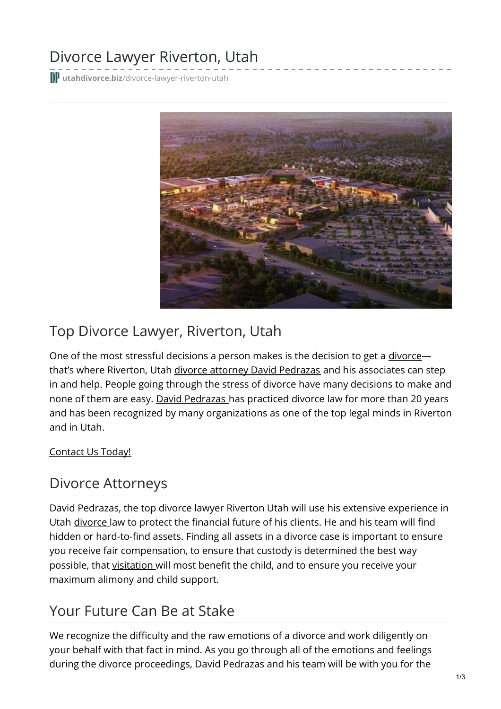# Divorce Lawyer Riverton, Utah

**utahdivorce.biz**[/divorce-lawyer-riverton-utah](https://utahdivorce.biz/divorce-lawyer-riverton-utah%E2%80%8E/)



## Top Divorce Lawyer, Riverton, Utah

One of the most stressful decisions a person makes is the decision to get a [divorce](https://utahdivorce.biz/divorce-attorney-utah) that's where Riverton, Utah divorce attorney David [Pedrazas](https://utahdivorce.biz/Attorney-Profile/David-Pedrazas.shtml) and his associates can step in and help. People going through the stress of divorce have many decisions to make and none of them are easy. David [Pedrazas](https://utahdivorce.biz/Why-Choose-David-Pedrazas.shtml) has practiced divorce law for more than 20 years and has been recognized by many organizations as one of the top legal minds in Riverton and in Utah.

#### [Contact](https://utahdivorce.biz/Contact.shtml) Us Today!

### Divorce Attorneys

David Pedrazas, the top divorce lawyer Riverton Utah will use his extensive experience in Utah [divorce](https://utahdivorce.biz/divorce-attorney-utah) law to protect the financial future of his clients. He and his team will find hidden or hard-to-find assets. Finding all assets in a divorce case is important to ensure you receive fair compensation, to ensure that custody is determined the best way possible, that [visitation](https://utahdivorce.biz/Child-Custody/Parent-Time-Visitation.shtml) will most benefit the child, and to ensure you receive your [maximum](https://utahdivorce.biz/Divorce/Alimony.shtml) alimony and child [support.](https://utahdivorce.biz/Child-Support/index.html)

## Your Future Can Be at Stake

We recognize the difficulty and the raw emotions of a divorce and work diligently on your behalf with that fact in mind. As you go through all of the emotions and feelings during the divorce proceedings, David Pedrazas and his team will be with you for the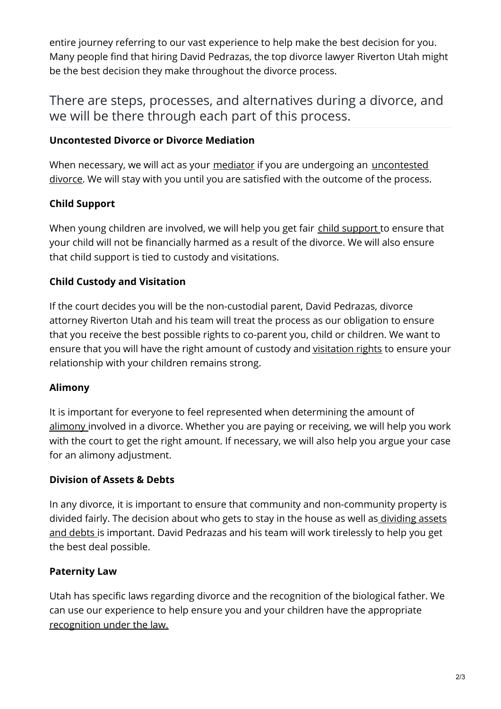entire journey referring to our vast experience to help make the best decision for you. Many people find that hiring David Pedrazas, the top divorce lawyer Riverton Utah might be the best decision they make throughout the divorce process.

There are steps, processes, and alternatives during a divorce, and we will be there through each part of this process.

#### **Uncontested Divorce or Divorce Mediation**

When necessary, we will act as your [mediator](https://utahdivorce.biz/Family-Law/Mediation.shtml) if you are undergoing an [uncontested](https://utahdivorce.biz/Divorce/Uncontested-Divorce.shtml) divorce. We will stay with you until you are satisfied with the outcome of the process.

#### **Child Support**

When young children are involved, we will help you get fair child [support](https://utahdivorce.biz/Child-Support/index.html) to ensure that your child will not be financially harmed as a result of the divorce. We will also ensure that child support is tied to custody and visitations.

#### **Child Custody and Visitation**

If the court decides you will be the non-custodial parent, David Pedrazas, divorce attorney Riverton Utah and his team will treat the process as our obligation to ensure that you receive the best possible rights to co-parent you, child or children. We want to ensure that you will have the right amount of custody and [visitation](https://utahdivorce.biz/Child-Custody/Parent-Time-Visitation.shtml) rights to ensure your relationship with your children remains strong.

#### **Alimony**

It is important for everyone to feel represented when determining the amount of [alimony](https://utahdivorce.biz/Divorce/Alimony.shtml) involved in a divorce. Whether you are paying or receiving, we will help you work with the court to get the right amount. If necessary, we will also help you argue your case for an alimony adjustment.

#### **Division of Assets & Debts**

In any divorce, it is important to ensure that community and non-community property is divided fairly. The decision about who gets to stay in the house as well as dividing assets and debts is [important.](https://utahdivorce.biz/Divorce/Asset-Division.shtml) David Pedrazas and his team will work tirelessly to help you get the best deal possible.

#### **Paternity Law**

Utah has specific laws regarding divorce and the recognition of the biological father. We can use our experience to help ensure you and your children have the appropriate [recognition](https://utahdivorce.biz/Child-Custody/Fathers-Rights.shtml) under the law.